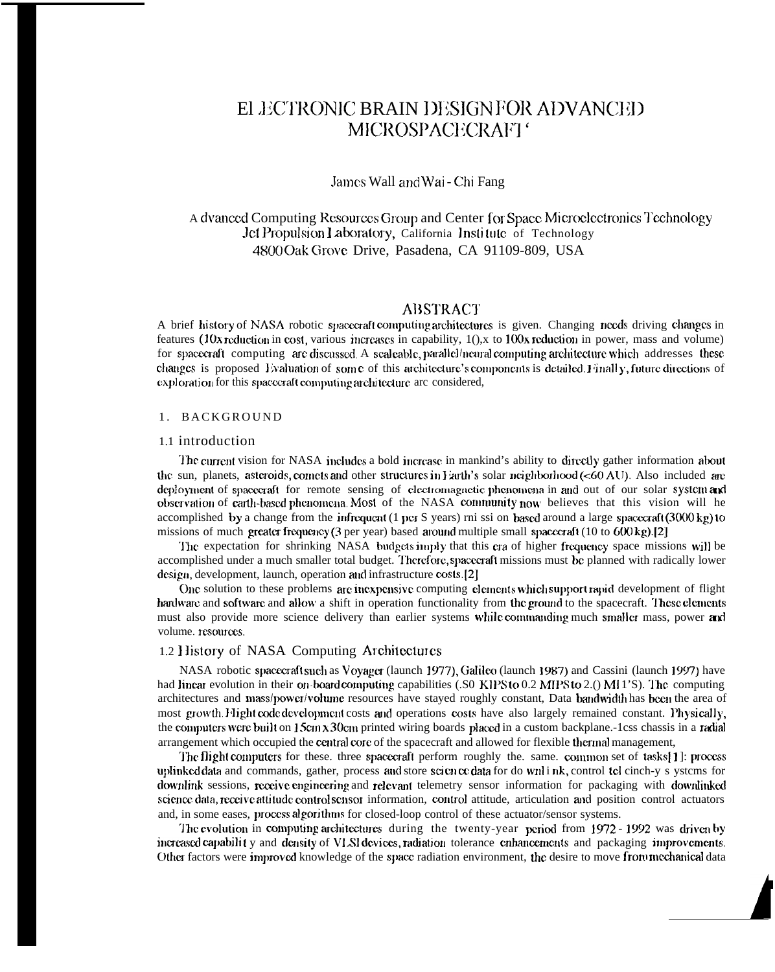# ELECTRONIC BRAIN DESIGNFOR ADVANCED MICROSPACECRAFT<sup>®</sup>

#### James Wall and Wai - Chi Fang

## A dvanced Computing Resources Group and Center for Space Microelectronics Technology Jet Propulsion Laboratory, California Institute of Technology 4800 Oak Grove Drive, Pasadena, CA 91109-809, USA

## **ABSTRACT**

A brief history of NASA robotic spacecraft computing architectures is given. Changing needs driving changes in features (10x reduction in cost, various increases in capability,  $1()$ , x to 100x reduction in power, mass and volume) for spacecraft computing are discussed. A scaleable, parallel/neural computing architecture which addresses these changes is proposed Evaluation of some of this architecture's components is detailed. Finally, future directions of exploration for this spacecraft computing architecture are considered,

#### 1. BACKGROUND

#### 1.1 introduction

The current vision for NASA includes a bold increase in mankind's ability to directly gather information about the sun, planets, asteroids, comets and other structures in Farth's solar neighborhood (<60 AU). Also included are deployment of spacecraft for remote sensing of electromagnetic phenomena in and out of our solar system and observation of carth-based phenomena. Most of the NASA community now believes that this vision will he accomplished by a change from the infrequent (1 per S years) rni ssi on based around a large spacecraft (3000 kg) to missions of much greater frequency (3 per year) based around multiple small spacecraft (10 to  $600 \text{ kg}$ ).[2]

The expectation for shrinking NASA budgets imply that this era of higher frequency space missions will be accomplished under a much smaller total budget. Therefore, spacecraft missions must be planned with radically lower design, development, launch, operation and infrastructure costs.[2]

One solution to these problems are inexpensive computing elements which support rapid development of flight hardware and software and allow a shift in operation functionality from the ground to the spacecraft. These elements must also provide more science delivery than earlier systems while commanding much smaller mass, power and volume. resources.

#### 1.2 History of NASA Computing Architectures

NASA robotic spacecraft such as Voyager (launch 1977), Galileo (launch 1987) and Cassini (launch 1997) have had linear evolution in their on-board computing capabilities (.S0 KIPS to 0.2 MIPS to 2.() MI1'S). The computing architectures and mass/power/volume resources have stayed roughly constant, Data bandwidth has been the area of most growth. Hight code development costs and operations costs have also largely remained constant. Physically, the computers were built on 15cm x 30cm printed wiring boards placed in a custom backplane.-1css chassis in a radial arrangement which occupied the central core of the spacecraft and allowed for flexible thermal management,

The flight computers for these, three spacecraft perform roughly the, same, common set of tasks[1]; process uplinked data and commands, gather, process and store science data for do wnlink, control tel cinch-y s ystems for downlink sessions, receive engineering and relevant telemetry sensor information for packaging with downlinked science data, receive attitude control sensor information, control attitude, articulation and position control actuators and, in some eases, process algorithms for closed-loop control of these actuator/sensor systems.

The evolution in computing architectures during the twenty-year period from 1972 - 1992 was driven by increased capability and density of VLSI devices, radiation tolerance enhancements and packaging improvements. Other factors were improved knowledge of the space radiation environment, the desire to move from mechanical data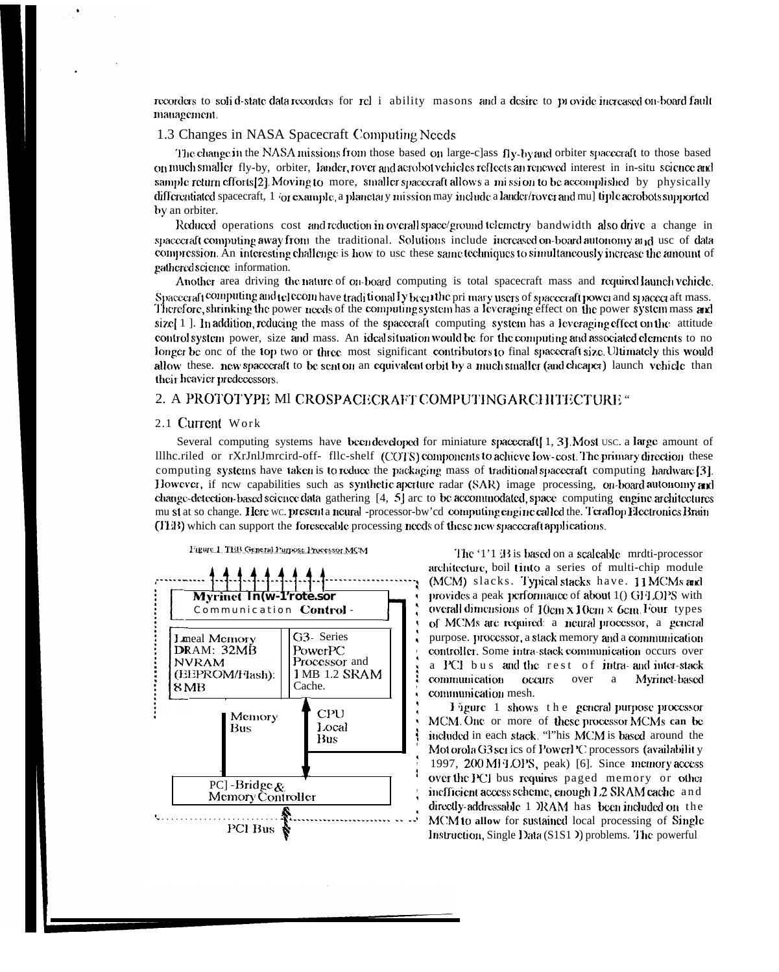recorders to solid-state data recorders for rel i ability masons and a desire to provide increased on-board fault management.

#### 1.3 Changes in NASA Spacecraft Computing Needs

The change in the NASA missions from those based on large-class fly-by and orbiter spacecraft to those based on much smaller fly-by, orbiter, lander, rover and aerobot vehicles reflects an renewed interest in in-situ science and sample return efforts[2]. Moving to more, smaller spacecraft allows a mission to be accomplished by physically differentiated spacecraft, 1 (or example, a planetary mission may include a lauder/rover and mu] tiple aerobots supported by an orbiter.

Reduced operations cost and reduction in overall space/ground telemetry bandwidth also drive a change in spacecraft computing away from the traditional. Solutions include increased on-board autonomy and use of data compression. An interesting challenge is how to use these same techniques to simultaneously increase the amount of gathered science information.

Another area driving the nature of on-board computing is total spacecraft mass and required launch vehicle. Spacecraft computing and telecom have traditionally been the primary users of spacecraft power and spacecraft mass.<br>Therefore, shrinking the power needs of the computing system has a leveraging effect on the power system m size  $\left(1\right)$ . In addition, reducing the mass of the spacecraft computing system has a leveraging effect on the attitude control system power, size and mass. An ideal situation would be for the computing and associated elements to no longer be one of the top two or three most significant contributors to final spacecraft size. Ultimately this would allow these, new spacecraft to be sent on an equivalent orbit by a much smaller (and cheaper) launch vehicle than their heavier predecessors.

#### 2. A PROTOTYPE MI CROSPACECRAFT COMPUTING ARCHITECTURE "

#### 2.1 Current Work

Several computing systems have been developed for miniature spacecraf( $\lceil 1, 3 \rceil$ ). Most usc. a large amount of Illhc.riled or rXrJnlJmrcird-off-file-shelf (COTS) components to achieve low-cost. The primary direction these computing systems have taken is to reduce the packaging mass of traditional spacecraft computing hardware [3]. However, if new capabilities such as synthetic aperture radar (SAR) image processing, on-board autonomy and change-detection-based science data gathering [4, 5] are to be accommodated, space computing engine architectures mu si at so change. Here wc. present a neural -processor-bw'cd computing engine called the. Teraflop Hectronics Brain (FEB) which can support the foreseeable processing needs of these new spacecraft applications.

Figure 1 TEB General Purpose Processor MCM



The '1'1 B is based on a scaleable mrdti-processor architecture, boil tinto a series of multi-chip module (MCM) slacks. Typical stacks have. 11 MCMs and provides a peak performance of about 1() GFJ OPS with overall dimensions of  $10 \text{cm} x 10 \text{cm} x$  6cm. Four types of MCMs are required: a neural processor, a general purpose. processor, a stack memory and a communication controller. Some intra-stack communication occurs over a PCI bus and the rest of intra- and inter-stack communication Myrinct-based occurs over a communication mesh.

Figure 1 shows the general purpose processor MCM. One or more of these processor MCMs can be included in each stack. "I"his MCM is based around the Mot orola G3 set ics of PowerPC processors (availability 1997, 200 MH OPS, peak) [6]. Since memory access over the PCI bus requires paged memory or other inefficient access scheme, enough 1.2 SRAM cache and directly-addressable 1 JRAM has been included on the MCM to allow for sustained local processing of Single Instruction, Single Data (S1S1) problems. The powerful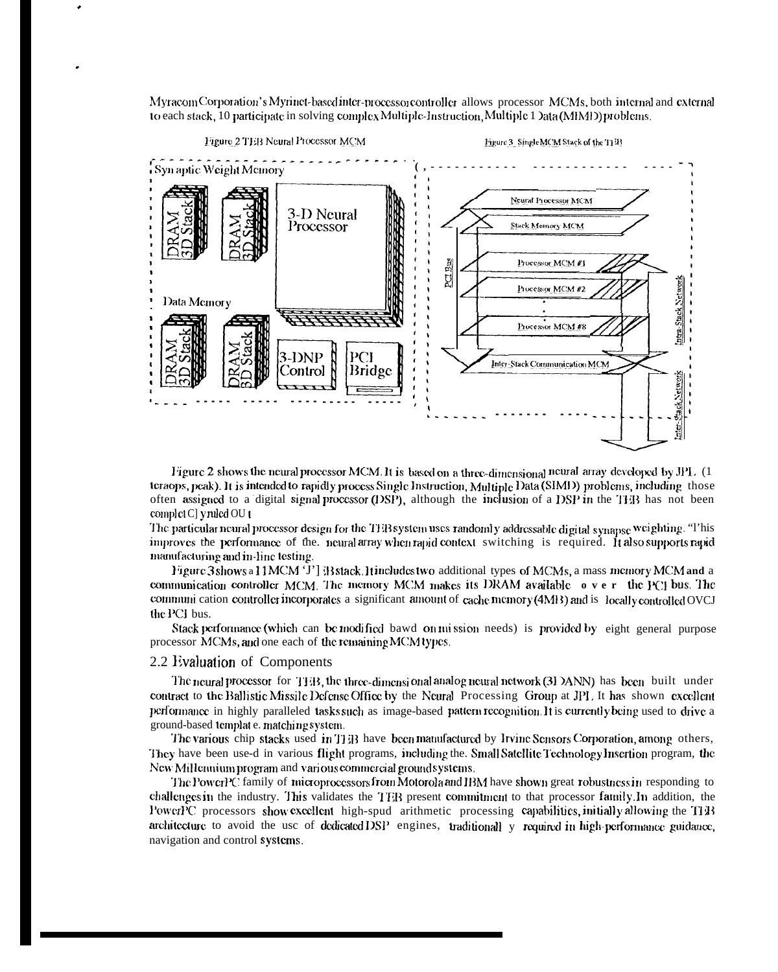Myracom Corporation's Myrinet-based inter-processor controller allows processor MCMs, both internal and external to each stack, 10 participate in solving complex Multiple-Instruction, Multiple 1 Data (MIMI) problems.



Figure 2 shows the neural processor MCM. It is based on a three-dimensional neural array developed by JPL (1 teraops, peak). It is intended to rapidly process Single Instruction, Multiple Data (SIMD) problems, including those often assigned to a digital signal processor (DSP), although the inclusion of a DSP in the TEB has not been complet C] y ruled OU t

The particular neural processor design for the TEB system uses randomly addressable digital synapse weighting. "This improves the performance of the neural array when rapid context switching is required. It also supports rapid manufacturing and in-line testing.

Figure 3shows a 11MCM 'J'] B stack. It includes two additional types of MCMs, a mass memory MCM and a communication controller MCM. The memory MCM makes its DRAM available over the PCI bus. The communi cation controller incorporates a significant amount of cache memory (4MB) and is locally controlled OVCJ the PCI bus.

Stack performance (which can be modified bawd on mission needs) is provided by eight general purpose processor MCMs, and one each of the remaining MCM types.

#### 2.2 Evaluation of Components

The neural processor for  $THB$ , the three-dimensional analog neural network (3I DANN) has been built under contract to the Ballistic Missile Defense Office by the Neural Processing Group at JPL It has shown excellent performance in highly paralleled tasks such as image-based pattern recognition. It is currently being used to drive a ground-based template. matching system.

The various chip stacks used in THB have been manufactured by Irvine Sensors Corporation, among others, They have been use-d in various flight programs, including the. Small Satellite Technology Insertion program, the New Millennium program and various commercial ground systems.

The PowerPC family of microprocessors from Motorola and IBM have shown great robustness in responding to challenges in the industry. This validates the TEB present commitment to that processor family. In addition, the PowerPC processors show excellent high-spud arithmetic processing capabilities, initially allowing the THB architecture to avoid the use of dedicated DSP engines, traditionall y required in high-performance guidance, navigation and control systems.